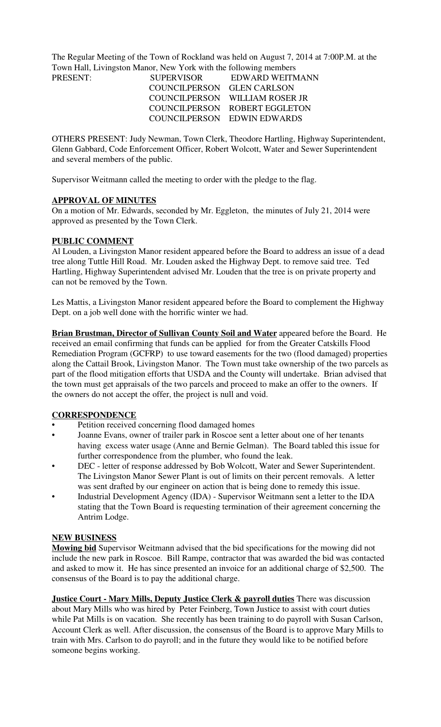The Regular Meeting of the Town of Rockland was held on August 7, 2014 at 7:00P.M. at the Town Hall, Livingston Manor, New York with the following members

| PRESENT: | <b>SUPERVISOR</b>          | EDWARD WEITMANN                |
|----------|----------------------------|--------------------------------|
|          | COUNCILPERSON GLEN CARLSON |                                |
|          |                            | COUNCILPERSON WILLIAM ROSER JR |
|          |                            | COUNCILPERSON ROBERT EGGLETON  |
|          |                            | COUNCILPERSON EDWIN EDWARDS    |

OTHERS PRESENT: Judy Newman, Town Clerk, Theodore Hartling, Highway Superintendent, Glenn Gabbard, Code Enforcement Officer, Robert Wolcott, Water and Sewer Superintendent and several members of the public.

Supervisor Weitmann called the meeting to order with the pledge to the flag.

## **APPROVAL OF MINUTES**

On a motion of Mr. Edwards, seconded by Mr. Eggleton, the minutes of July 21, 2014 were approved as presented by the Town Clerk.

## **PUBLIC COMMENT**

Al Louden, a Livingston Manor resident appeared before the Board to address an issue of a dead tree along Tuttle Hill Road. Mr. Louden asked the Highway Dept. to remove said tree. Ted Hartling, Highway Superintendent advised Mr. Louden that the tree is on private property and can not be removed by the Town.

Les Mattis, a Livingston Manor resident appeared before the Board to complement the Highway Dept. on a job well done with the horrific winter we had.

**Brian Brustman, Director of Sullivan County Soil and Water** appeared before the Board. He received an email confirming that funds can be applied for from the Greater Catskills Flood Remediation Program (GCFRP) to use toward easements for the two (flood damaged) properties along the Cattail Brook, Livingston Manor. The Town must take ownership of the two parcels as part of the flood mitigation efforts that USDA and the County will undertake. Brian advised that the town must get appraisals of the two parcels and proceed to make an offer to the owners. If the owners do not accept the offer, the project is null and void.

## **CORRESPONDENCE**

- Petition received concerning flood damaged homes
- Joanne Evans, owner of trailer park in Roscoe sent a letter about one of her tenants having excess water usage (Anne and Bernie Gelman). The Board tabled this issue for further correspondence from the plumber, who found the leak.
- DEC letter of response addressed by Bob Wolcott, Water and Sewer Superintendent. The Livingston Manor Sewer Plant is out of limits on their percent removals. A letter was sent drafted by our engineer on action that is being done to remedy this issue.
- Industrial Development Agency (IDA) Supervisor Weitmann sent a letter to the IDA stating that the Town Board is requesting termination of their agreement concerning the Antrim Lodge.

#### **NEW BUSINESS**

**Mowing bid** Supervisor Weitmann advised that the bid specifications for the mowing did not include the new park in Roscoe. Bill Rampe, contractor that was awarded the bid was contacted and asked to mow it. He has since presented an invoice for an additional charge of \$2,500. The consensus of the Board is to pay the additional charge.

**Justice Court - Mary Mills, Deputy Justice Clerk & payroll duties** There was discussion about Mary Mills who was hired by Peter Feinberg, Town Justice to assist with court duties while Pat Mills is on vacation. She recently has been training to do payroll with Susan Carlson, Account Clerk as well. After discussion, the consensus of the Board is to approve Mary Mills to train with Mrs. Carlson to do payroll; and in the future they would like to be notified before someone begins working.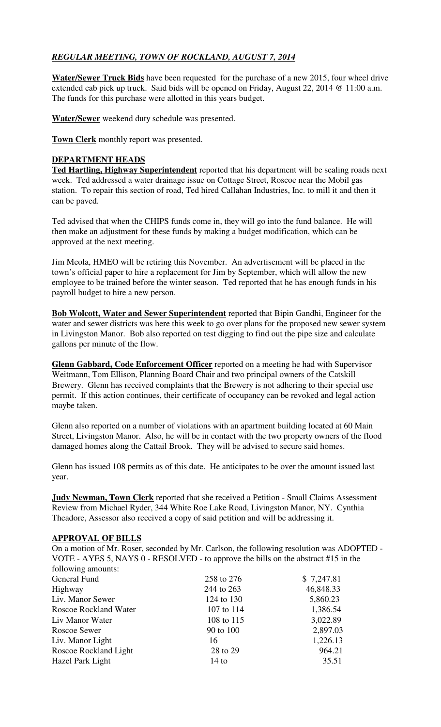# *REGULAR MEETING, TOWN OF ROCKLAND, AUGUST 7, 2014*

**Water/Sewer Truck Bids** have been requested for the purchase of a new 2015, four wheel drive extended cab pick up truck. Said bids will be opened on Friday, August 22, 2014 @ 11:00 a.m. The funds for this purchase were allotted in this years budget.

**Water/Sewer** weekend duty schedule was presented.

**Town Clerk** monthly report was presented.

## **DEPARTMENT HEADS**

**Ted Hartling, Highway Superintendent** reported that his department will be sealing roads next week. Ted addressed a water drainage issue on Cottage Street, Roscoe near the Mobil gas station. To repair this section of road, Ted hired Callahan Industries, Inc. to mill it and then it can be paved.

Ted advised that when the CHIPS funds come in, they will go into the fund balance. He will then make an adjustment for these funds by making a budget modification, which can be approved at the next meeting.

Jim Meola, HMEO will be retiring this November. An advertisement will be placed in the town's official paper to hire a replacement for Jim by September, which will allow the new employee to be trained before the winter season. Ted reported that he has enough funds in his payroll budget to hire a new person.

**Bob Wolcott, Water and Sewer Superintendent** reported that Bipin Gandhi, Engineer for the water and sewer districts was here this week to go over plans for the proposed new sewer system in Livingston Manor. Bob also reported on test digging to find out the pipe size and calculate gallons per minute of the flow.

**Glenn Gabbard, Code Enforcement Officer** reported on a meeting he had with Supervisor Weitmann, Tom Ellison, Planning Board Chair and two principal owners of the Catskill Brewery. Glenn has received complaints that the Brewery is not adhering to their special use permit. If this action continues, their certificate of occupancy can be revoked and legal action maybe taken.

Glenn also reported on a number of violations with an apartment building located at 60 Main Street, Livingston Manor. Also, he will be in contact with the two property owners of the flood damaged homes along the Cattail Brook. They will be advised to secure said homes.

Glenn has issued 108 permits as of this date. He anticipates to be over the amount issued last year.

**Judy Newman, Town Clerk** reported that she received a Petition - Small Claims Assessment Review from Michael Ryder, 344 White Roe Lake Road, Livingston Manor, NY. Cynthia Theadore, Assessor also received a copy of said petition and will be addressing it.

## **APPROVAL OF BILLS**

On a motion of Mr. Roser, seconded by Mr. Carlson, the following resolution was ADOPTED - VOTE - AYES 5, NAYS 0 - RESOLVED - to approve the bills on the abstract #15 in the following amounts:

| General Fund                 | 258 to 276 | \$7,247.81 |
|------------------------------|------------|------------|
| Highway                      | 244 to 263 | 46,848.33  |
| Liv. Manor Sewer             | 124 to 130 | 5,860.23   |
| <b>Roscoe Rockland Water</b> | 107 to 114 | 1,386.54   |
| Liv Manor Water              | 108 to 115 | 3,022.89   |
| Roscoe Sewer                 | 90 to 100  | 2,897.03   |
| Liv. Manor Light             | 16         | 1,226.13   |
| Roscoe Rockland Light        | 28 to 29   | 964.21     |
| Hazel Park Light             | $14$ to    | 35.51      |
|                              |            |            |